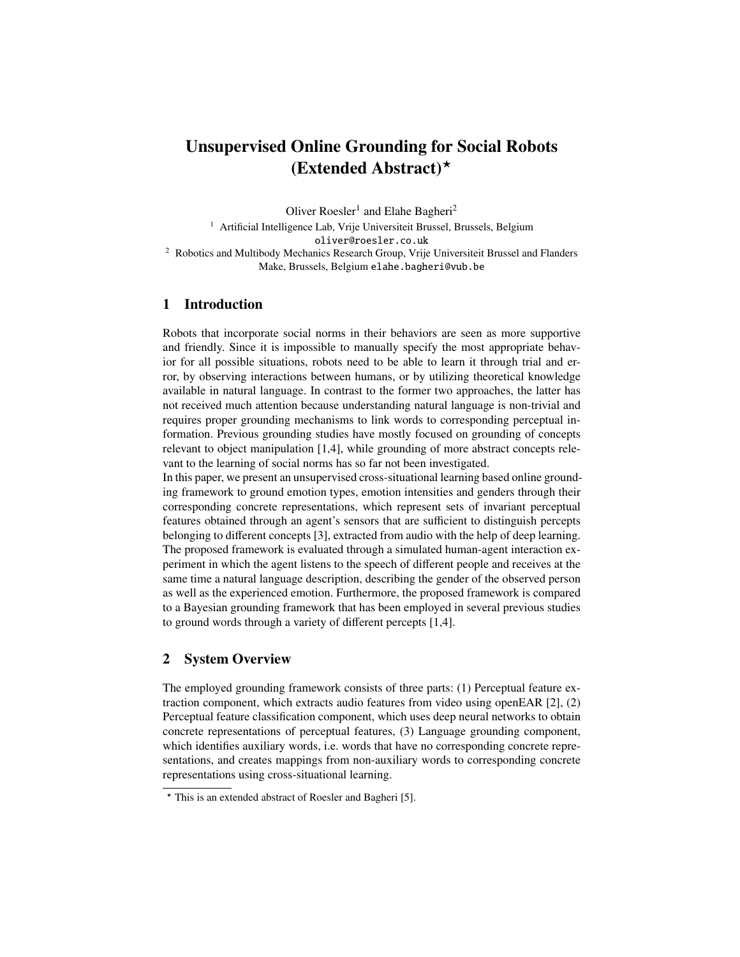# Unsupervised Online Grounding for Social Robots (Extended Abstract) $\star$

Oliver Roesler<sup>1</sup> and Elahe Bagheri<sup>2</sup>

<sup>1</sup> Artificial Intelligence Lab, Vrije Universiteit Brussel, Brussels, Belgium oliver@roesler.co.uk <sup>2</sup> Robotics and Multibody Mechanics Research Group, Vrije Universiteit Brussel and Flanders Make, Brussels, Belgium elahe.bagheri@vub.be

# 1 Introduction

Robots that incorporate social norms in their behaviors are seen as more supportive and friendly. Since it is impossible to manually specify the most appropriate behavior for all possible situations, robots need to be able to learn it through trial and error, by observing interactions between humans, or by utilizing theoretical knowledge available in natural language. In contrast to the former two approaches, the latter has not received much attention because understanding natural language is non-trivial and requires proper grounding mechanisms to link words to corresponding perceptual information. Previous grounding studies have mostly focused on grounding of concepts relevant to object manipulation [\[1](#page-1-0)[,4\]](#page-1-1), while grounding of more abstract concepts relevant to the learning of social norms has so far not been investigated.

In this paper, we present an unsupervised cross-situational learning based online grounding framework to ground emotion types, emotion intensities and genders through their corresponding concrete representations, which represent sets of invariant perceptual features obtained through an agent's sensors that are sufficient to distinguish percepts belonging to different concepts [\[3\]](#page-1-2), extracted from audio with the help of deep learning. The proposed framework is evaluated through a simulated human-agent interaction experiment in which the agent listens to the speech of different people and receives at the same time a natural language description, describing the gender of the observed person as well as the experienced emotion. Furthermore, the proposed framework is compared to a Bayesian grounding framework that has been employed in several previous studies to ground words through a variety of different percepts [\[1,](#page-1-0)[4\]](#page-1-1).

# 2 System Overview

The employed grounding framework consists of three parts: (1) Perceptual feature extraction component, which extracts audio features from video using openEAR [\[2\]](#page-1-3), (2) Perceptual feature classification component, which uses deep neural networks to obtain concrete representations of perceptual features, (3) Language grounding component, which identifies auxiliary words, i.e. words that have no corresponding concrete representations, and creates mappings from non-auxiliary words to corresponding concrete representations using cross-situational learning.

<sup>?</sup> This is an extended abstract of Roesler and Bagheri [\[5\]](#page-1-4).